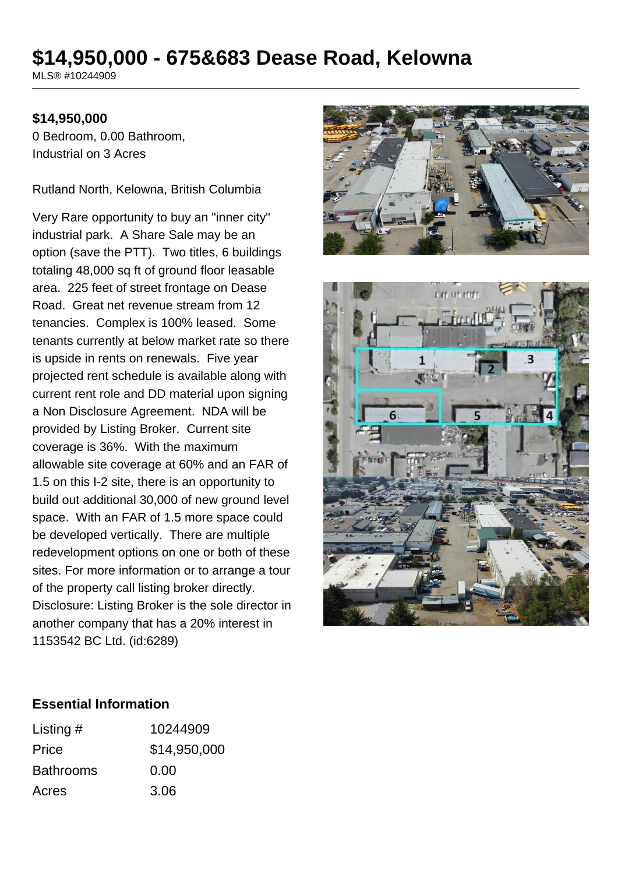# **\$14,950,000 - 675&683 Dease Road, Kelowna**

MLS® #10244909

### **\$14,950,000**

0 Bedroom, 0.00 Bathroom, Industrial on 3 Acres

Rutland North, Kelowna, British Columbia

Very Rare opportunity to buy an "inner city" industrial park. A Share Sale may be an option (save the PTT). Two titles, 6 buildings totaling 48,000 sq ft of ground floor leasable area. 225 feet of street frontage on Dease Road. Great net revenue stream from 12 tenancies. Complex is 100% leased. Some tenants currently at below market rate so there is upside in rents on renewals. Five year projected rent schedule is available along with current rent role and DD material upon signing a Non Disclosure Agreement. NDA will be provided by Listing Broker. Current site coverage is 36%. With the maximum allowable site coverage at 60% and an FAR of 1.5 on this I-2 site, there is an opportunity to build out additional 30,000 of new ground level space. With an FAR of 1.5 more space could be developed vertically. There are multiple redevelopment options on one or both of these sites. For more information or to arrange a tour of the property call listing broker directly. Disclosure: Listing Broker is the sole director in another company that has a 20% interest in 1153542 BC Ltd. (id:6289)





### **Essential Information**

| Listing $#$      | 10244909     |
|------------------|--------------|
| Price            | \$14,950,000 |
| <b>Bathrooms</b> | 0.00         |
| Acres            | 3.06         |